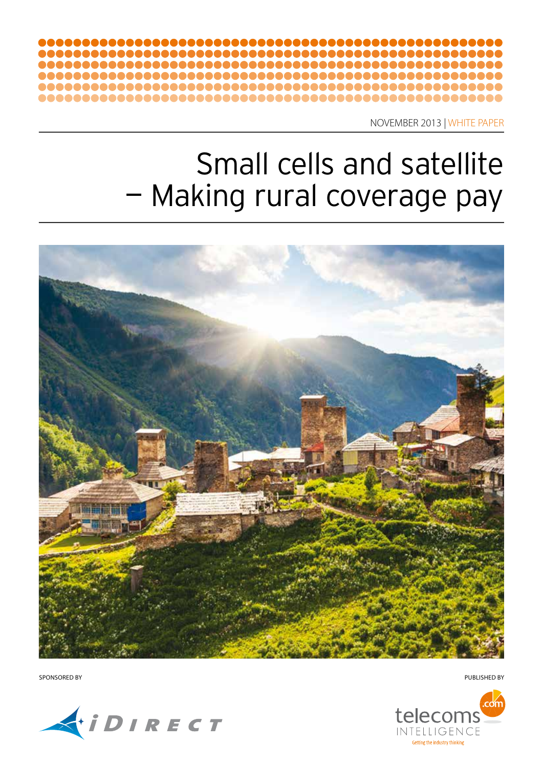

NOVEMBER 2013 | WHITE PAPER

# Small cells and satellite — Making rural coverage pay



SPONSORED BY PUBLISHED BY



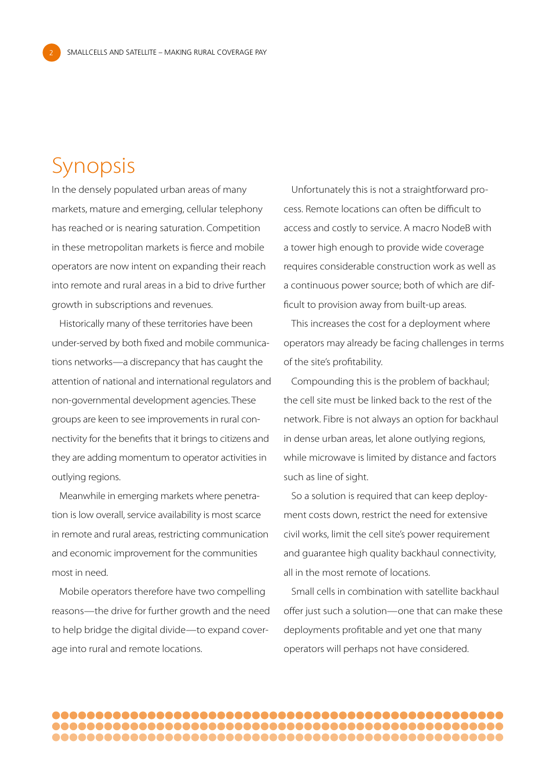### Synopsis

2

In the densely populated urban areas of many markets, mature and emerging, cellular telephony has reached or is nearing saturation. Competition in these metropolitan markets is fierce and mobile operators are now intent on expanding their reach into remote and rural areas in a bid to drive further growth in subscriptions and revenues.

Historically many of these territories have been under-served by both fixed and mobile communications networks—a discrepancy that has caught the attention of national and international regulators and non-governmental development agencies. These groups are keen to see improvements in rural connectivity for the benefits that it brings to citizens and they are adding momentum to operator activities in outlying regions.

Meanwhile in emerging markets where penetration is low overall, service availability is most scarce in remote and rural areas, restricting communication and economic improvement for the communities most in need.

Mobile operators therefore have two compelling reasons—the drive for further growth and the need to help bridge the digital divide—to expand coverage into rural and remote locations.

Unfortunately this is not a straightforward process. Remote locations can often be difficult to access and costly to service. A macro NodeB with a tower high enough to provide wide coverage requires considerable construction work as well as a continuous power source; both of which are difficult to provision away from built-up areas.

This increases the cost for a deployment where operators may already be facing challenges in terms of the site's profitability.

Compounding this is the problem of backhaul; the cell site must be linked back to the rest of the network. Fibre is not always an option for backhaul in dense urban areas, let alone outlying regions, while microwave is limited by distance and factors such as line of sight.

So a solution is required that can keep deployment costs down, restrict the need for extensive civil works, limit the cell site's power requirement and guarantee high quality backhaul connectivity, all in the most remote of locations.

Small cells in combination with satellite backhaul offer just such a solution—one that can make these deployments profitable and yet one that many operators will perhaps not have considered.

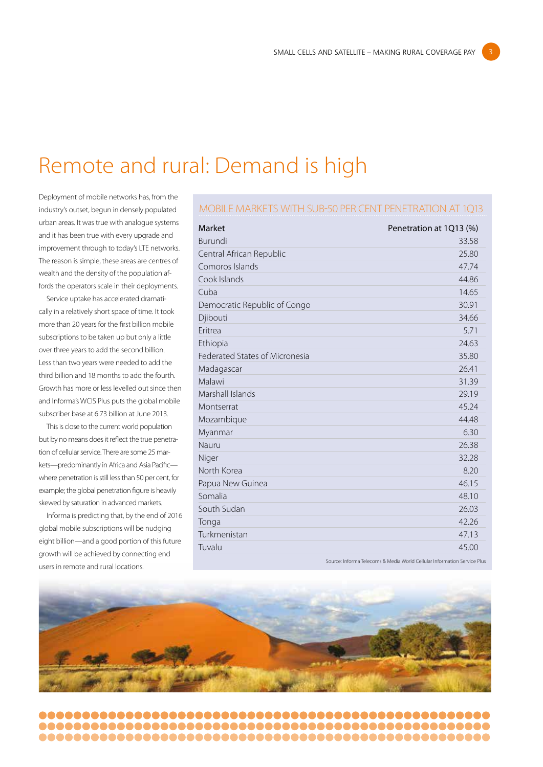### Remote and rural: Demand is high

Deployment of mobile networks has, from the industry's outset, begun in densely populated urban areas. It was true with analogue systems and it has been true with every upgrade and improvement through to today's LTE networks. The reason is simple, these areas are centres of wealth and the density of the population affords the operators scale in their deployments.

Service uptake has accelerated dramatically in a relatively short space of time. It took more than 20 years for the first billion mobile subscriptions to be taken up but only a little over three years to add the second billion. Less than two years were needed to add the third billion and 18 months to add the fourth. Growth has more or less levelled out since then and Informa's WCIS Plus puts the global mobile subscriber base at 6.73 billion at June 2013.

This is close to the current world population but by no means does it reflect the true penetration of cellular service. There are some 25 markets—predominantly in Africa and Asia Pacific where penetration is still less than 50 per cent, for example; the global penetration figure is heavily skewed by saturation in advanced markets.

Informa is predicting that, by the end of 2016 global mobile subscriptions will be nudging eight billion—and a good portion of this future growth will be achieved by connecting end users in remote and rural locations.

#### Mobile markets with sub-50 per cent penetration at 1Q13

| Market                                | Penetration at 1Q13 (%) |  |
|---------------------------------------|-------------------------|--|
| Burundi                               | 33.58                   |  |
| Central African Republic              | 25.80                   |  |
| Comoros Islands                       | 47.74                   |  |
| Cook Islands                          | 44.86                   |  |
| Cuba                                  | 14.65                   |  |
| Democratic Republic of Congo          | 30.91                   |  |
| Djibouti                              | 34.66                   |  |
| Eritrea                               | 5.71                    |  |
| Ethiopia                              | 24.63                   |  |
| <b>Federated States of Micronesia</b> | 35.80                   |  |
| Madagascar                            | 26.41                   |  |
| Malawi                                | 31.39                   |  |
| Marshall Islands                      | 29.19                   |  |
| Montserrat                            | 45.24                   |  |
| Mozambique                            | 44.48                   |  |
| Myanmar                               | 6.30                    |  |
| Nauru                                 | 26.38                   |  |
| Niger                                 | 32.28                   |  |
| North Korea                           | 8.20                    |  |
| Papua New Guinea                      | 46.15                   |  |
| Somalia                               | 48.10                   |  |
| South Sudan                           | 26.03                   |  |
| Tonga                                 | 42.26                   |  |
| Turkmenistan                          | 47.13                   |  |
| Tuvalu                                | 45.00                   |  |
|                                       |                         |  |

Source: Informa Telecoms & Media World Cellular Information Service Plus

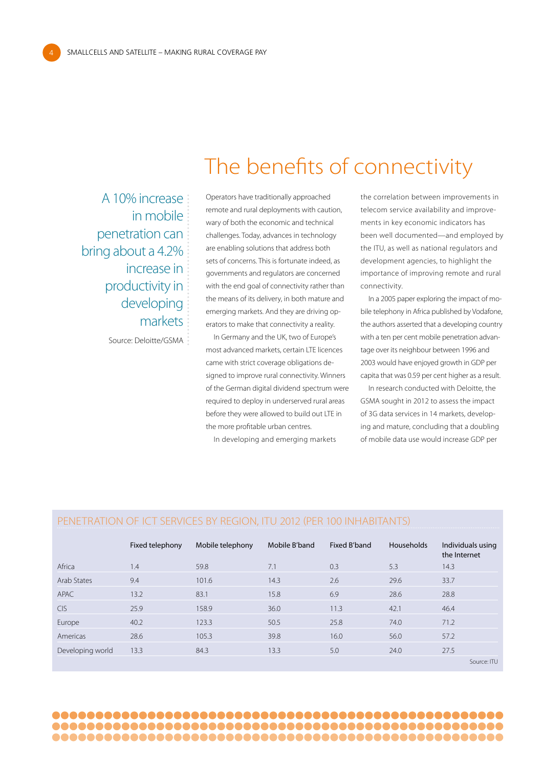4

A 10% increase in mobile penetration can bring about a 4.2% increase in productivity in developing markets

Source: Deloitte/GSMA

Operators have traditionally approached remote and rural deployments with caution, wary of both the economic and technical challenges. Today, advances in technology are enabling solutions that address both sets of concerns. This is fortunate indeed, as governments and regulators are concerned with the end goal of connectivity rather than the means of its delivery, in both mature and emerging markets. And they are driving operators to make that connectivity a reality.

The benefits of connectivity

In Germany and the UK, two of Europe's most advanced markets, certain LTE licences came with strict coverage obligations designed to improve rural connectivity. Winners of the German digital dividend spectrum were required to deploy in underserved rural areas before they were allowed to build out LTE in the more profitable urban centres.

In developing and emerging markets

the correlation between improvements in telecom service availability and improvements in key economic indicators has been well documented—and employed by the ITU, as well as national regulators and development agencies, to highlight the importance of improving remote and rural connectivity.

In a 2005 paper exploring the impact of mobile telephony in Africa published by Vodafone, the authors asserted that a developing country with a ten per cent mobile penetration advantage over its neighbour between 1996 and 2003 would have enjoyed growth in GDP per capita that was 0.59 per cent higher as a result.

In research conducted with Deloitte, the GSMA sought in 2012 to assess the impact of 3G data services in 14 markets, developing and mature, concluding that a doubling of mobile data use would increase GDP per

#### Penetration of ICT services by region, ITU 2012 (per 100 inhabitants)

|                  | Fixed telephony | Mobile telephony | Mobile B'band | Fixed B'band | <b>Households</b> | Individuals using<br>the Internet |
|------------------|-----------------|------------------|---------------|--------------|-------------------|-----------------------------------|
| Africa           | 1.4             | 59.8             | 7.1           | 0.3          | 5.3               | 14.3                              |
| Arab States      | 9.4             | 101.6            | 14.3          | 2.6          | 29.6              | 33.7                              |
| APAC             | 13.2            | 83.1             | 15.8          | 6.9          | 28.6              | 28.8                              |
| <b>CIS</b>       | 25.9            | 158.9            | 36.0          | 11.3         | 42.1              | 46.4                              |
| Europe           | 40.2            | 123.3            | 50.5          | 25.8         | 74.0              | 71.2                              |
| Americas         | 28.6            | 105.3            | 39.8          | 16.0         | 56.0              | 57.2                              |
| Developing world | 13.3            | 84.3             | 13.3          | 5.0          | 24.0              | 27.5                              |
|                  |                 |                  |               |              |                   | Source: ITU                       |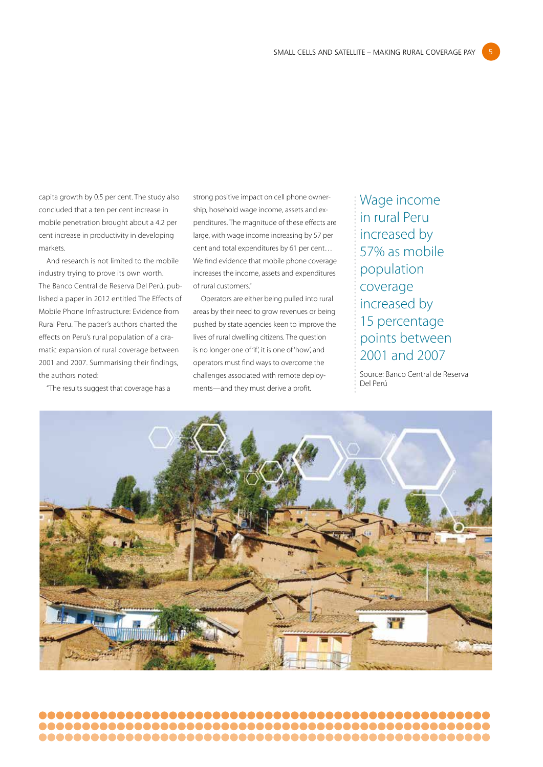capita growth by 0.5 per cent. The study also concluded that a ten per cent increase in mobile penetration brought about a 4.2 per cent increase in productivity in developing markets.

And research is not limited to the mobile industry trying to prove its own worth. The Banco Central de Reserva Del Perú, published a paper in 2012 entitled The Effects of Mobile Phone Infrastructure: Evidence from Rural Peru. The paper's authors charted the effects on Peru's rural population of a dramatic expansion of rural coverage between 2001 and 2007. Summarising their findings, the authors noted:

"The results suggest that coverage has a

strong positive impact on cell phone ownership, hosehold wage income, assets and expenditures. The magnitude of these effects are large, with wage income increasing by 57 per cent and total expenditures by 61 per cent… We find evidence that mobile phone coverage increases the income, assets and expenditures of rural customers."

Operators are either being pulled into rural areas by their need to grow revenues or being pushed by state agencies keen to improve the lives of rural dwelling citizens. The question is no longer one of 'if', it is one of 'how', and operators must find ways to overcome the challenges associated with remote deployments—and they must derive a profit.

Wage income in rural Peru increased by 57% as mobile population coverage increased by 15 percentage points between 2001 and 2007

Source: Banco Central de Reserva Del Perú

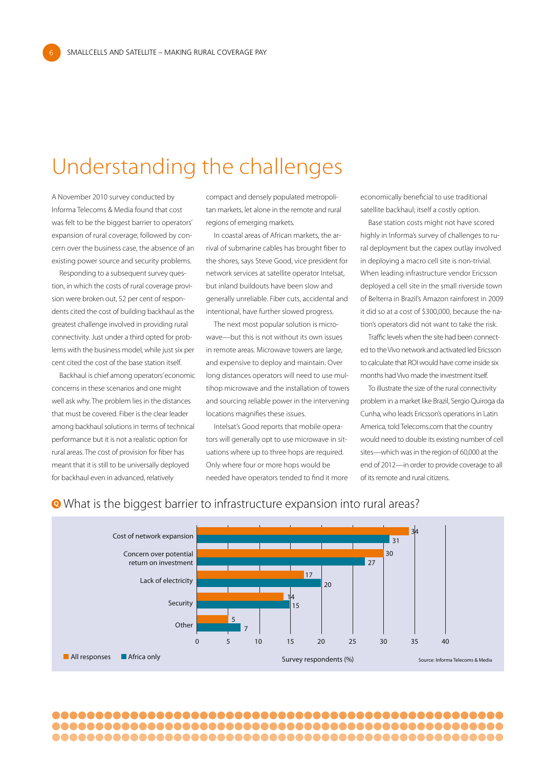## Understanding the challenges

A November 2010 survey conducted by Informa Telecoms & Media found that cost was felt to be the biggest barrier to operators' expansion of rural coverage, followed by concern over the business case, the absence of an existing power source and security problems.

6

Responding to a subsequent survey question, in which the costs of rural coverage provision were broken out, 52 per cent of respondents cited the cost of building backhaul as the greatest challenge involved in providing rural connectivity. Just under a third opted for problems with the business model, while just six per cent cited the cost of the base station itself.

Backhaul is chief among operators' economic concerns in these scenarios and one might well ask why. The problem lies in the distances that must be covered. Fiber is the clear leader among backhaul solutions in terms of technical performance but it is not a realistic option for rural areas. The cost of provision for fiber has meant that it is still to be universally deployed for backhaul even in advanced, relatively

compact and densely populated metropolitan markets, let alone in the remote and rural regions of emerging markets.

In coastal areas of African markets, the arrival of submarine cables has brought fiber to the shores, says Steve Good, vice president for network services at satellite operator Intelsat, but inland buildouts have been slow and generally unreliable. Fiber cuts, accidental and intentional, have further slowed progress.

The next most popular solution is microwave—but this is not without its own issues in remote areas. Microwave towers are large, and expensive to deploy and maintain. Over long distances operators will need to use multihop microwave and the installation of towers and sourcing reliable power in the intervening locations magnifies these issues.

Intelsat's Good reports that mobile operators will generally opt to use microwave in situations where up to three hops are required. Only where four or more hops would be needed have operators tended to find it more economically beneficial to use traditional satellite backhaul; itself a costly option.

Base station costs might not have scored highly in Informa's survey of challenges to rural deployment but the capex outlay involved in deploying a macro cell site is non-trivial. When leading infrastructure vendor Ericsson deployed a cell site in the small riverside town of Belterra in Brazil's Amazon rainforest in 2009 it did so at a cost of \$300,000, because the nation's operators did not want to take the risk.

Traffic levels when the site had been connected to the Vivo network and activated led Ericsson to calculate that ROI would have come inside six months had Vivo made the investment itself.

To illustrate the size of the rural connectivity problem in a market like Brazil, Sergio Quiroga da Cunha, who leads Ericsson's operations in Latin America, told Telecoms.com that the country would need to double its existing number of cell sites—which was in the region of 60,000 at the end of 2012—in order to provide coverage to all of its remote and rural citizens.



#### What is the biggest barrier to infrastructure expansion into rural areas?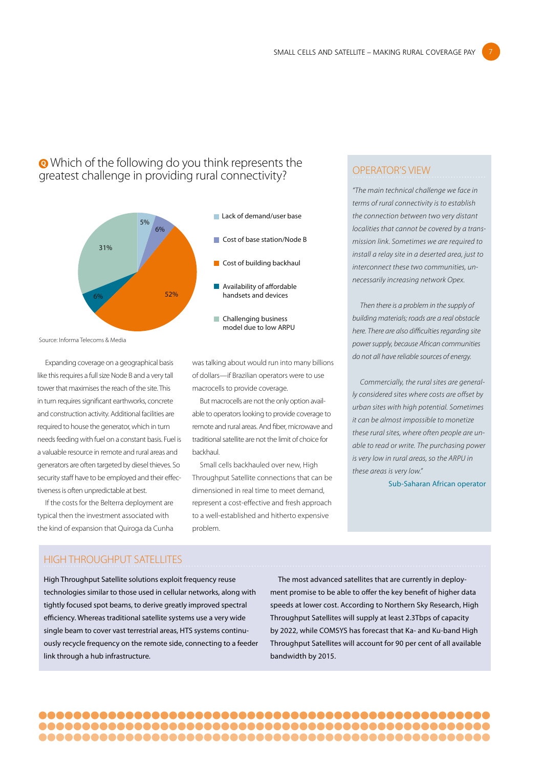#### Which of the following do you think represents the greatest challenge in providing rural connectivity?



Source: Informa Telecoms & Media

Expanding coverage on a geographical basis like this requires a full size Node B and a very tall tower that maximises the reach of the site. This in turn requires significant earthworks, concrete and construction activity. Additional facilities are required to house the generator, which in turn needs feeding with fuel on a constant basis. Fuel is a valuable resource in remote and rural areas and generators are often targeted by diesel thieves. So security staff have to be employed and their effectiveness is often unpredictable at best.

If the costs for the Belterra deployment are typical then the investment associated with the kind of expansion that Quiroga da Cunha

was talking about would run into many billions of dollars—if Brazilian operators were to use macrocells to provide coverage.

But macrocells are not the only option available to operators looking to provide coverage to remote and rural areas. And fiber, microwave and traditional satellite are not the limit of choice for backhaul.

Small cells backhauled over new, High Throughput Satellite connections that can be dimensioned in real time to meet demand, represent a cost-effective and fresh approach to a well-established and hitherto expensive problem.

#### OPERATOR'S VIEW

*"The main technical challenge we face in terms of rural connectivity is to establish the connection between two very distant localities that cannot be covered by a transmission link. Sometimes we are required to install a relay site in a deserted area, just to interconnect these two communities, unnecessarily increasing network Opex.* 

*Then there is a problem in the supply of building materials; roads are a real obstacle here. There are also difficulties regarding site power supply, because African communities do not all have reliable sources of energy.* 

*Commercially, the rural sites are generally considered sites where costs are offset by urban sites with high potential. Sometimes it can be almost impossible to monetize these rural sites, where often people are unable to read or write. The purchasing power is very low in rural areas, so the ARPU in these areas is very low."*

Sub-Saharan African operator

#### HIGH THROUGHPUT SATELLITES

High Throughput Satellite solutions exploit frequency reuse technologies similar to those used in cellular networks, along with tightly focused spot beams, to derive greatly improved spectral efficiency. Whereas traditional satellite systems use a very wide single beam to cover vast terrestrial areas, HTS systems continuously recycle frequency on the remote side, connecting to a feeder link through a hub infrastructure.

The most advanced satellites that are currently in deployment promise to be able to offer the key benefit of higher data speeds at lower cost. According to Northern Sky Research, High Throughput Satellites will supply at least 2.3Tbps of capacity by 2022, while COMSYS has forecast that Ka- and Ku-band High Throughput Satellites will account for 90 per cent of all available bandwidth by 2015.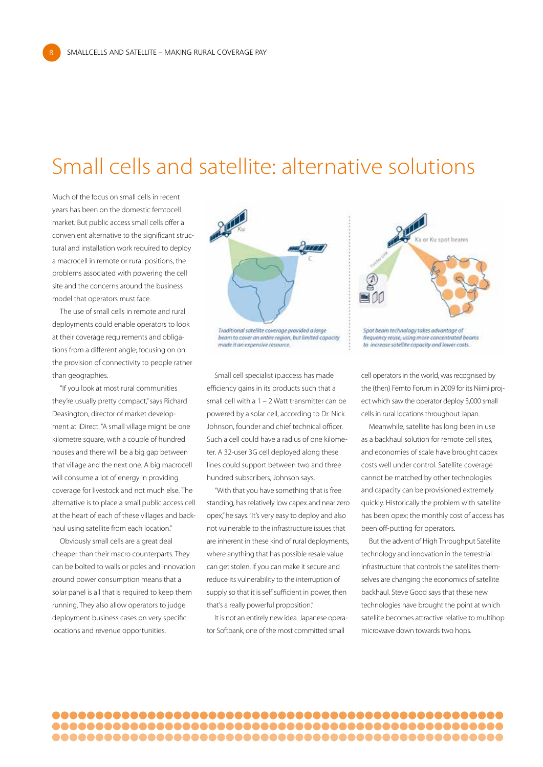## Small cells and satellite: alternative solutions

Much of the focus on small cells in recent years has been on the domestic femtocell market. But public access small cells offer a convenient alternative to the significant structural and installation work required to deploy a macrocell in remote or rural positions, the problems associated with powering the cell site and the concerns around the business model that operators must face.

8

The use of small cells in remote and rural deployments could enable operators to look at their coverage requirements and obligations from a different angle; focusing on on the provision of connectivity to people rather than geographies.

"If you look at most rural communities they're usually pretty compact," says Richard Deasington, director of market development at iDirect. "A small village might be one kilometre square, with a couple of hundred houses and there will be a big gap between that village and the next one. A big macrocell will consume a lot of energy in providing coverage for livestock and not much else. The alternative is to place a small public access cell at the heart of each of these villages and backhaul using satellite from each location."

Obviously small cells are a great deal cheaper than their macro counterparts. They can be bolted to walls or poles and innovation around power consumption means that a solar panel is all that is required to keep them running. They also allow operators to judge deployment business cases on very specific locations and revenue opportunities.



Traditional satellite coverage provided a large beam to cover an entire region, but limited capacity made it an expensive resource.

Small cell specialist ip.access has made efficiency gains in its products such that a small cell with a 1 – 2 Watt transmitter can be powered by a solar cell, according to Dr. Nick Johnson, founder and chief technical officer. Such a cell could have a radius of one kilometer. A 32-user 3G cell deployed along these lines could support between two and three hundred subscribers, Johnson says.

"With that you have something that is free standing, has relatively low capex and near zero opex," he says. "It's very easy to deploy and also not vulnerable to the infrastructure issues that are inherent in these kind of rural deployments, where anything that has possible resale value can get stolen. If you can make it secure and reduce its vulnerability to the interruption of supply so that it is self sufficient in power, then that's a really powerful proposition."

It is not an entirely new idea. Japanese operator Softbank, one of the most committed small





cell operators in the world, was recognised by the (then) Femto Forum in 2009 for its Niimi project which saw the operator deploy 3,000 small cells in rural locations throughout Japan.

Meanwhile, satellite has long been in use as a backhaul solution for remote cell sites, and economies of scale have brought capex costs well under control. Satellite coverage cannot be matched by other technologies and capacity can be provisioned extremely quickly. Historically the problem with satellite has been opex; the monthly cost of access has been off-putting for operators.

But the advent of High Throughput Satellite technology and innovation in the terrestrial infrastructure that controls the satellites themselves are changing the economics of satellite backhaul. Steve Good says that these new technologies have brought the point at which satellite becomes attractive relative to multihop microwave down towards two hops.

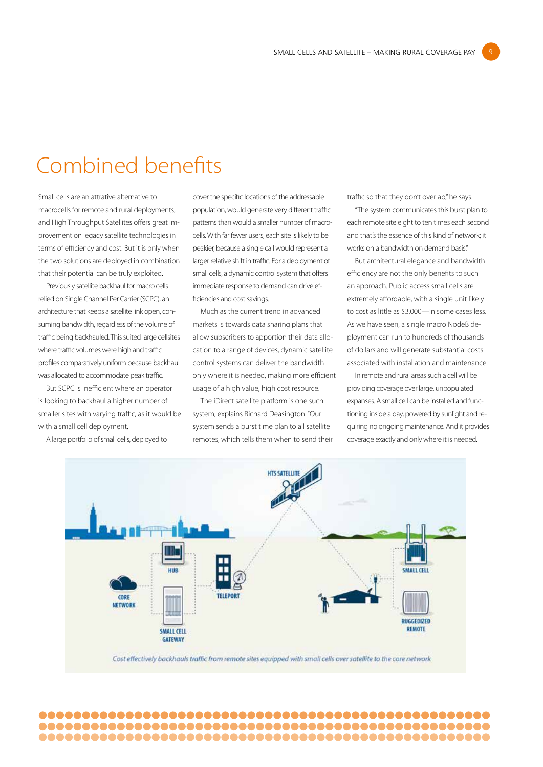### Combined benefits

Small cells are an attrative alternative to macrocells for remote and rural deployments, and High Throughput Satellites offers great improvement on legacy satellite technologies in terms of efficiency and cost. But it is only when the two solutions are deployed in combination that their potential can be truly exploited.

Previously satellite backhaul for macro cells relied on Single Channel Per Carrier (SCPC), an architecture that keeps a satellite link open, consuming bandwidth, regardless of the volume of traffic being backhauled. This suited large cellsites where traffic volumes were high and traffic profiles comparatively uniform because backhaul was allocated to accommodate peak traffic.

But SCPC is inefficient where an operator is looking to backhaul a higher number of smaller sites with varying traffic, as it would be with a small cell deployment.

A large portfolio of small cells, deployed to

cover the specific locations of the addressable population, would generate very different traffic patterns than would a smaller number of macrocells. With far fewer users, each site is likely to be peakier, because a single call would represent a larger relative shift in traffic. For a deployment of small cells, a dynamic control system that offers immediate response to demand can drive efficiencies and cost savings.

Much as the current trend in advanced markets is towards data sharing plans that allow subscribers to apportion their data allocation to a range of devices, dynamic satellite control systems can deliver the bandwidth only where it is needed, making more efficient usage of a high value, high cost resource.

The iDirect satellite platform is one such system, explains Richard Deasington. "Our system sends a burst time plan to all satellite remotes, which tells them when to send their traffic so that they don't overlap," he says.

"The system communicates this burst plan to each remote site eight to ten times each second and that's the essence of this kind of network; it works on a bandwidth on demand basis."

9

But architectural elegance and bandwidth efficiency are not the only benefits to such an approach. Public access small cells are extremely affordable, with a single unit likely to cost as little as \$3,000—in some cases less. As we have seen, a single macro NodeB deployment can run to hundreds of thousands of dollars and will generate substantial costs associated with installation and maintenance.

In remote and rural areas such a cell will be providing coverage over large, unpopulated expanses. A small cell can be installed and functioning inside a day, powered by sunlight and requiring no ongoing maintenance. And it provides coverage exactly and only where it is needed.

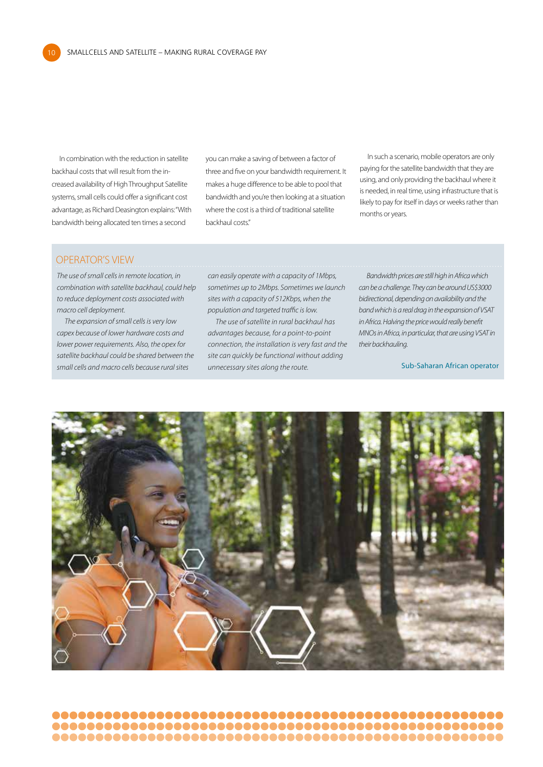In combination with the reduction in satellite backhaul costs that will result from the increased availability of High Throughput Satellite systems, small cells could offer a significant cost advantage, as Richard Deasington explains: "With bandwidth being allocated ten times a second

you can make a saving of between a factor of three and five on your bandwidth requirement. It makes a huge difference to be able to pool that bandwidth and you're then looking at a situation where the cost is a third of traditional satellite backhaul costs."

In such a scenario, mobile operators are only paying for the satellite bandwidth that they are using, and only providing the backhaul where it is needed, in real time, using infrastructure that is likely to pay for itself in days or weeks rather than months or years.

#### OPERATOR'S VIEW

10

*The use of small cells in remote location, in combination with satellite backhaul, could help to reduce deployment costs associated with macro cell deployment.*

*The expansion of small cells is very low capex because of lower hardware costs and lower power requirements. Also, the opex for satellite backhaul could be shared between the small cells and macro cells because rural sites* 

*can easily operate with a capacity of 1Mbps, sometimes up to 2Mbps. Sometimes we launch sites with a capacity of 512Kbps, when the population and targeted traffic is low.*

*The use of satellite in rural backhaul has advantages because, for a point-to-point connection, the installation is very fast and the site can quickly be functional without adding unnecessary sites along the route.* 

*Bandwidth prices are still high in Africa which can be a challenge. They can be around US\$3000 bidirectional, depending on availability and the band which is a real drag in the expansion of VSAT in Africa. Halving the price would really benefit MNOs in Africa, in particular, that are using VSAT in their backhauling.*

Sub-Saharan African operator

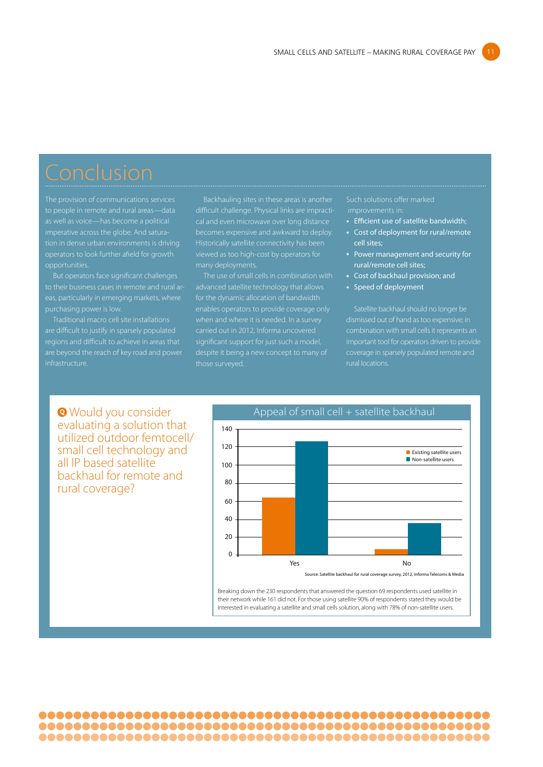The provision of communications services tion in dense urban environments is driving opportunities.

But operators face significant challenges to their business cases in remote and rural arpurchasing power is low.

Traditional macro cell site installations are difficult to justify in sparsely populated infrastructure.

Backhauling sites in these areas is another Historically satellite connectivity has been many deployments.

The use of small cells in combination with when and where it is needed. In a survey carried out in 2012, Informa uncovered significant support for just such a model,

### Such solutions offer marked

- Efficient use of satellite bandwidth;
- Cost of deployment for rural/remote cell sites;
- Power management and security for rural/remote cell sites;
- Cost of backhaul provision; and
- Speed of deployment

Satellite backhaul should no longer be dismissed out of hand as too expensive; in combination with small cells it represents an rural locations.

**Would you consider** evaluating a solution that utilized outdoor femtocell/ small cell technology and all IP based satellite backhaul for remote and rural coverage?



Breaking down the 230 respondents that answered the question 69 respondents used satellite in their network while 161 did not. For those using satellite 90% of respondents stated they would be interested in evaluating a satellite and small cells solution, along with 78% of non-satellite users.